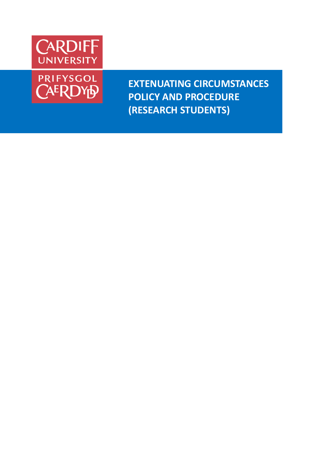



**EXTENUATING CIRCUMSTANCES POLICY AND PROCEDURE (RESEARCH STUDENTS)**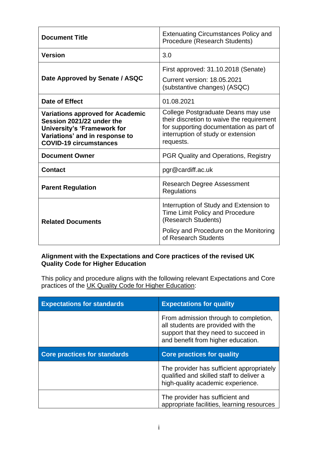| <b>Document Title</b>                                                                                                                                                  | <b>Extenuating Circumstances Policy and</b><br>Procedure (Research Students)                                                                                                  |
|------------------------------------------------------------------------------------------------------------------------------------------------------------------------|-------------------------------------------------------------------------------------------------------------------------------------------------------------------------------|
| <b>Version</b>                                                                                                                                                         | 3.0                                                                                                                                                                           |
| Date Approved by Senate / ASQC                                                                                                                                         | First approved: 31.10.2018 (Senate)<br><b>Current version: 18.05.2021</b><br>(substantive changes) (ASQC)                                                                     |
| Date of Effect                                                                                                                                                         | 01.08.2021                                                                                                                                                                    |
| <b>Variations approved for Academic</b><br>Session 2021/22 under the<br>University's 'Framework for<br>Variations' and in response to<br><b>COVID-19 circumstances</b> | College Postgraduate Deans may use<br>their discretion to waive the requirement<br>for supporting documentation as part of<br>interruption of study or extension<br>requests. |
| <b>Document Owner</b>                                                                                                                                                  | <b>PGR Quality and Operations, Registry</b>                                                                                                                                   |
| <b>Contact</b>                                                                                                                                                         | pgr@cardiff.ac.uk                                                                                                                                                             |
| <b>Parent Regulation</b>                                                                                                                                               | <b>Research Degree Assessment</b><br>Regulations                                                                                                                              |
| <b>Related Documents</b>                                                                                                                                               | Interruption of Study and Extension to<br><b>Time Limit Policy and Procedure</b><br>(Research Students)<br>Policy and Procedure on the Monitoring<br>of Research Students     |

#### **Alignment with the Expectations and Core practices of the revised [UK](https://www.qaa.ac.uk/quality-code)  [Quality Code for Higher Education](https://www.qaa.ac.uk/quality-code)**

This policy and procedure aligns with the following relevant Expectations and Core practices of the [UK Quality Code for Higher Education:](https://www.qaa.ac.uk/quality-code)

| <b>Expectations for standards</b>   | <b>Expectations for quality</b>                                                                                                                           |
|-------------------------------------|-----------------------------------------------------------------------------------------------------------------------------------------------------------|
|                                     | From admission through to completion,<br>all students are provided with the<br>support that they need to succeed in<br>and benefit from higher education. |
|                                     |                                                                                                                                                           |
| <b>Core practices for standards</b> | <b>Core practices for quality</b>                                                                                                                         |
|                                     | The provider has sufficient appropriately<br>qualified and skilled staff to deliver a<br>high-quality academic experience.                                |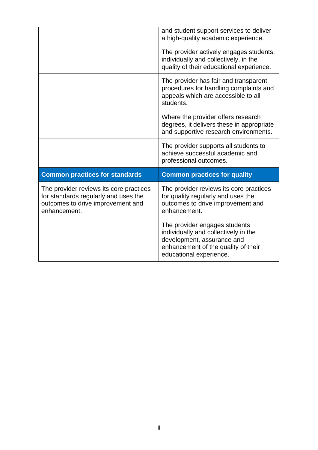|                                                                                                                                      | and student support services to deliver<br>a high-quality academic experience.                                                      |
|--------------------------------------------------------------------------------------------------------------------------------------|-------------------------------------------------------------------------------------------------------------------------------------|
|                                                                                                                                      | The provider actively engages students,<br>individually and collectively, in the<br>quality of their educational experience.        |
|                                                                                                                                      | The provider has fair and transparent<br>procedures for handling complaints and<br>appeals which are accessible to all<br>students. |
|                                                                                                                                      | Where the provider offers research<br>degrees, it delivers these in appropriate<br>and supportive research environments.            |
|                                                                                                                                      | The provider supports all students to<br>achieve successful academic and<br>professional outcomes.                                  |
|                                                                                                                                      |                                                                                                                                     |
| <b>Common practices for standards</b>                                                                                                | <b>Common practices for quality</b>                                                                                                 |
| The provider reviews its core practices<br>for standards regularly and uses the<br>outcomes to drive improvement and<br>enhancement. | The provider reviews its core practices<br>for quality regularly and uses the<br>outcomes to drive improvement and<br>enhancement.  |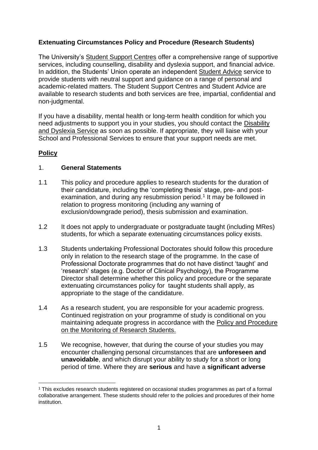# **Extenuating Circumstances Policy and Procedure (Research Students)**

The University's [Student Support Centres](https://www.cardiff.ac.uk/study/student-life/student-support) offer a comprehensive range of supportive services, including counselling, disability and dyslexia support, and financial advice. In addition, the Students' Union operate an independent [Student Advice](https://www.cardiffstudents.com/advice/) service to provide students with neutral support and guidance on a range of personal and academic-related matters. The Student Support Centres and Student Advice are available to research students and both services are free, impartial, confidential and non-judgmental.

If you have a disability, mental health or long-term health condition for which you need adjustments to support you in your studies, you should contact the [Disability](http://www.cardiff.ac.uk/new-students/before-you-arrive/disability-and-dyslexia-support)  [and Dyslexia Service](http://www.cardiff.ac.uk/new-students/before-you-arrive/disability-and-dyslexia-support) as soon as possible. If appropriate, they will liaise with your School and Professional Services to ensure that your support needs are met.

## **Policy**

#### 1. **General Statements**

- 1.1 This policy and procedure applies to research students for the duration of their candidature, including the 'completing thesis' stage, pre- and postexamination, and during any resubmission period.<sup>1</sup> It may be followed in relation to progress monitoring (including any warning of exclusion/downgrade period), thesis submission and examination.
- 1.2 It does not apply to undergraduate or postgraduate taught (including MRes) students, for which a separate extenuating circumstances policy exists.
- 1.3 Students undertaking Professional Doctorates should follow this procedure only in relation to the research stage of the programme. In the case of Professional Doctorate programmes that do not have distinct 'taught' and 'research' stages (e.g. Doctor of Clinical Psychology), the Programme Director shall determine whether this policy and procedure or the separate extenuating circumstances policy for taught students shall apply, as appropriate to the stage of the candidature.
- 1.4 As a research student, you are responsible for your academic progress. Continued registration on your programme of study is conditional on you maintaining adequate progress in accordance with the [Policy and Procedure](https://intranet.cardiff.ac.uk/?a=1400672)  [on the Monitoring of Research Students.](https://intranet.cardiff.ac.uk/?a=1400672)
- 1.5 We recognise, however, that during the course of your studies you may encounter challenging personal circumstances that are **unforeseen and unavoidable**, and which disrupt your ability to study for a short or long period of time. Where they are **serious** and have a **significant adverse**

<sup>&</sup>lt;sup>1</sup> This excludes research students registered on occasional studies programmes as part of a formal collaborative arrangement. These students should refer to the policies and procedures of their home institution.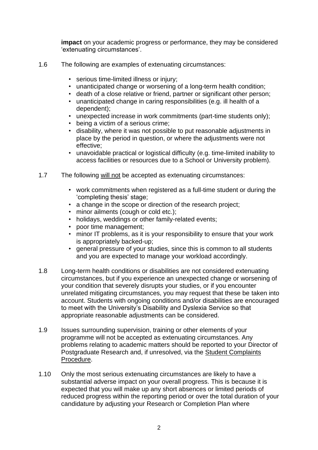**impact** on your academic progress or performance, they may be considered 'extenuating circumstances'.

- 1.6 The following are examples of extenuating circumstances:
	- serious time-limited illness or injury;
	- unanticipated change or worsening of a long-term health condition;
	- death of a close relative or friend, partner or significant other person;
	- unanticipated change in caring responsibilities (e.g. ill health of a dependent);
	- unexpected increase in work commitments (part-time students only);
	- being a victim of a serious crime;
	- disability, where it was not possible to put reasonable adjustments in place by the period in question, or where the adjustments were not effective;
	- unavoidable practical or logistical difficulty (e.g. time-limited inability to access facilities or resources due to a School or University problem).
- 1.7 The following will not be accepted as extenuating circumstances:
	- work commitments when registered as a full-time student or during the 'completing thesis' stage;
	- a change in the scope or direction of the research project;
	- minor ailments (cough or cold etc.);
	- holidays, weddings or other family-related events;
	- poor time management;
	- minor IT problems, as it is your responsibility to ensure that your work is appropriately backed-up;
	- general pressure of your studies, since this is common to all students and you are expected to manage your workload accordingly.
- 1.8 Long-term health conditions or disabilities are not considered extenuating circumstances, but if you experience an unexpected change or worsening of your condition that severely disrupts your studies, or if you encounter unrelated mitigating circumstances, you may request that these be taken into account. Students with ongoing conditions and/or disabilities are encouraged to meet with the University's Disability and Dyslexia Service so that appropriate reasonable adjustments can be considered.
- 1.9 Issues surrounding supervision, training or other elements of your programme will not be accepted as extenuating circumstances. Any problems relating to academic matters should be reported to your Director of Postgraduate Research and, if unresolved, via the [Student Complaints](https://www.cardiff.ac.uk/public-information/students-applicants/complaints)  [Procedure.](https://www.cardiff.ac.uk/public-information/students-applicants/complaints)
- 1.10 Only the most serious extenuating circumstances are likely to have a substantial adverse impact on your overall progress. This is because it is expected that you will make up any short absences or limited periods of reduced progress within the reporting period or over the total duration of your candidature by adjusting your Research or Completion Plan where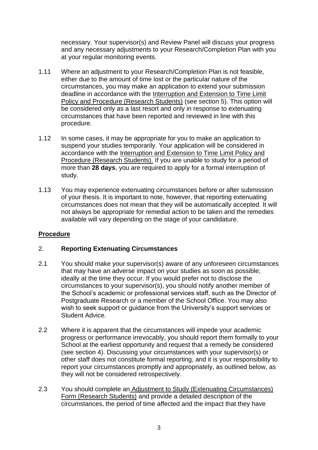necessary. Your supervisor(s) and Review Panel will discuss your progress and any necessary adjustments to your Research/Completion Plan with you at your regular monitoring events.

- 1.11 Where an adjustment to your Research/Completion Plan is not feasible, either due to the amount of time lost or the particular nature of the circumstances, you may make an application to extend your submission deadline in accordance with the [Interruption and Extension to Time Limit](https://intranet.cardiff.ac.uk/?a=1453561)  [Policy and Procedure \(Research Students\)](https://intranet.cardiff.ac.uk/?a=1453561) (see section 5). This option will be considered only as a last resort and only in response to extenuating circumstances that have been reported and reviewed in line with this procedure.
- 1.12 In some cases, it may be appropriate for you to make an application to suspend your studies temporarily. Your application will be considered in accordance with the [Interruption and Extension to Time](https://intranet.cardiff.ac.uk/?a=1453561) Limit Policy and [Procedure \(Research Students\).](https://intranet.cardiff.ac.uk/?a=1453561) If you are unable to study for a period of more than **28 days**, you are required to apply for a formal interruption of study.
- 1.13 You may experience extenuating circumstances before or after submission of your thesis. It is important to note, however, that reporting extenuating circumstances does not mean that they will be automatically accepted. It will not always be appropriate for remedial action to be taken and the remedies available will vary depending on the stage of your candidature.

## **Procedure**

#### 2. **Reporting Extenuating Circumstances**

- 2.1 You should make your supervisor(s) aware of any unforeseen circumstances that may have an adverse impact on your studies as soon as possible; ideally at the time they occur. If you would prefer not to disclose the circumstances to your supervisor(s), you should notify another member of the School's academic or professional services staff, such as the Director of Postgraduate Research or a member of the School Office. You may also wish to seek support or guidance from the University's support services or Student Advice.
- 2.2 Where it is apparent that the circumstances will impede your academic progress or performance irrevocably, you should report them formally to your School at the earliest opportunity and request that a remedy be considered (see section 4). Discussing your circumstances with your supervisor(s) or other staff does not constitute formal reporting, and it is your responsibility to report your circumstances promptly and appropriately, as outlined below, as they will not be considered retrospectively.
- 2.3 You should complete an [Adjustment to Study \(Extenuating Circumstances\)](https://intranet.cardiff.ac.uk/?a=314889)  [Form \(Research Students\)](https://intranet.cardiff.ac.uk/?a=314889) and provide a detailed description of the circumstances, the period of time affected and the impact that they have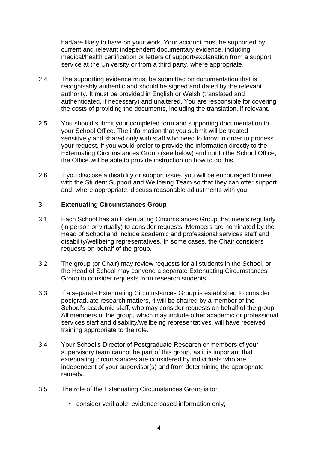had/are likely to have on your work. Your account must be supported by current and relevant independent documentary evidence, including medical/health certification or letters of support/explanation from a support service at the University or from a third party, where appropriate.

- 2.4 The supporting evidence must be submitted on documentation that is recognisably authentic and should be signed and dated by the relevant authority. It must be provided in English or Welsh (translated and authenticated, if necessary) and unaltered. You are responsible for covering the costs of providing the documents, including the translation, if relevant.
- 2.5 You should submit your completed form and supporting documentation to your School Office. The information that you submit will be treated sensitively and shared only with staff who need to know in order to process your request. If you would prefer to provide the information directly to the Extenuating Circumstances Group (see below) and not to the School Office, the Office will be able to provide instruction on how to do this.
- 2.6 If you disclose a disability or support issue, you will be encouraged to meet with the Student Support and Wellbeing Team so that they can offer support and, where appropriate, discuss reasonable adjustments with you.

#### 3. **Extenuating Circumstances Group**

- 3.1 Each School has an Extenuating Circumstances Group that meets regularly (in person or virtually) to consider requests. Members are nominated by the Head of School and include academic and professional services staff and disability/wellbeing representatives. In some cases, the Chair considers requests on behalf of the group.
- 3.2 The group (or Chair) may review requests for all students in the School, or the Head of School may convene a separate Extenuating Circumstances Group to consider requests from research students.
- 3.3 If a separate Extenuating Circumstances Group is established to consider postgraduate research matters, it will be chaired by a member of the School's academic staff, who may consider requests on behalf of the group. All members of the group, which may include other academic or professional services staff and disability/wellbeing representatives, will have received training appropriate to the role.
- 3.4 Your School's Director of Postgraduate Research or members of your supervisory team cannot be part of this group, as it is important that extenuating circumstances are considered by individuals who are independent of your supervisor(s) and from determining the appropriate remedy.
- 3.5 The role of the Extenuating Circumstances Group is to:
	- consider verifiable, evidence-based information only;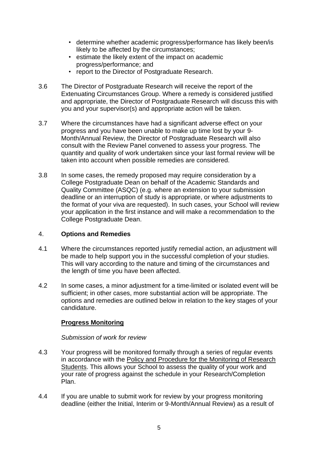- determine whether academic progress/performance has likely been/is likely to be affected by the circumstances;
- estimate the likely extent of the impact on academic progress/performance; and
- report to the Director of Postgraduate Research.
- 3.6 The Director of Postgraduate Research will receive the report of the Extenuating Circumstances Group. Where a remedy is considered justified and appropriate, the Director of Postgraduate Research will discuss this with you and your supervisor(s) and appropriate action will be taken.
- 3.7 Where the circumstances have had a significant adverse effect on your progress and you have been unable to make up time lost by your 9- Month/Annual Review, the Director of Postgraduate Research will also consult with the Review Panel convened to assess your progress. The quantity and quality of work undertaken since your last formal review will be taken into account when possible remedies are considered.
- 3.8 In some cases, the remedy proposed may require consideration by a College Postgraduate Dean on behalf of the Academic Standards and Quality Committee (ASQC) (e.g. where an extension to your submission deadline or an interruption of study is appropriate, or where adjustments to the format of your viva are requested). In such cases, your School will review your application in the first instance and will make a recommendation to the College Postgraduate Dean.

#### 4. **Options and Remedies**

- 4.1 Where the circumstances reported justify remedial action, an adjustment will be made to help support you in the successful completion of your studies. This will vary according to the nature and timing of the circumstances and the length of time you have been affected.
- 4.2 In some cases, a minor adjustment for a time-limited or isolated event will be sufficient; in other cases, more substantial action will be appropriate. The options and remedies are outlined below in relation to the key stages of your candidature.

## **Progress Monitoring**

#### *Submission of work for review*

- 4.3 Your progress will be monitored formally through a series of regular events in accordance with the [Policy and Procedure for the Monitoring of Research](https://intranet.cardiff.ac.uk/?a=1400672)  [Students.](https://intranet.cardiff.ac.uk/?a=1400672) This allows your School to assess the quality of your work and your rate of progress against the schedule in your Research/Completion Plan.
- 4.4 If you are unable to submit work for review by your progress monitoring deadline (either the Initial, Interim or 9-Month/Annual Review) as a result of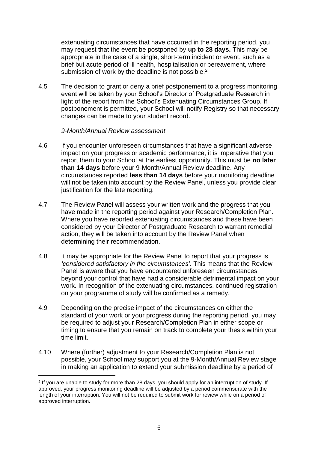extenuating circumstances that have occurred in the reporting period, you may request that the event be postponed by **up to 28 days.** This may be appropriate in the case of a single, short-term incident or event, such as a brief but acute period of ill health, hospitalisation or bereavement, where submission of work by the deadline is not possible.<sup>2</sup>

4.5 The decision to grant or deny a brief postponement to a progress monitoring event will be taken by your School's Director of Postgraduate Research in light of the report from the School's Extenuating Circumstances Group. If postponement is permitted, your School will notify Registry so that necessary changes can be made to your student record.

#### *9-Month/Annual Review assessment*

- 4.6 If you encounter unforeseen circumstances that have a significant adverse impact on your progress or academic performance, it is imperative that you report them to your School at the earliest opportunity. This must be **no later than 14 days** before your 9-Month/Annual Review deadline. Any circumstances reported **less than 14 days** before your monitoring deadline will not be taken into account by the Review Panel, unless you provide clear justification for the late reporting.
- 4.7 The Review Panel will assess your written work and the progress that you have made in the reporting period against your Research/Completion Plan. Where you have reported extenuating circumstances and these have been considered by your Director of Postgraduate Research to warrant remedial action, they will be taken into account by the Review Panel when determining their recommendation.
- 4.8 It may be appropriate for the Review Panel to report that your progress is *'considered satisfactory in the circumstances'*. This means that the Review Panel is aware that you have encountered unforeseen circumstances beyond your control that have had a considerable detrimental impact on your work. In recognition of the extenuating circumstances, continued registration on your programme of study will be confirmed as a remedy.
- 4.9 Depending on the precise impact of the circumstances on either the standard of your work or your progress during the reporting period, you may be required to adjust your Research/Completion Plan in either scope or timing to ensure that you remain on track to complete your thesis within your time limit.
- 4.10 Where (further) adjustment to your Research/Completion Plan is not possible, your School may support you at the 9-Month/Annual Review stage in making an application to extend your submission deadline by a period of

<sup>2</sup> If you are unable to study for more than 28 days, you should apply for an interruption of study. If approved, your progress monitoring deadline will be adjusted by a period commensurate with the length of your interruption. You will not be required to submit work for review while on a period of approved interruption.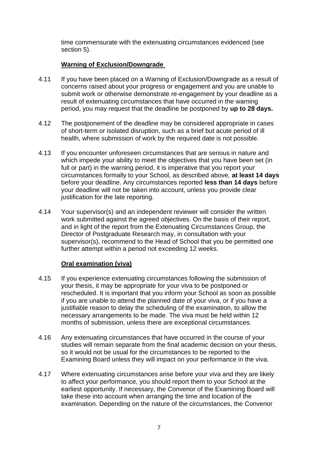time commensurate with the extenuating circumstances evidenced (see section 5).

## **Warning of Exclusion/Downgrade**

- 4.11 If you have been placed on a Warning of Exclusion/Downgrade as a result of concerns raised about your progress or engagement and you are unable to submit work or otherwise demonstrate re-engagement by your deadline as a result of extenuating circumstances that have occurred in the warning period, you may request that the deadline be postponed by **up to 28 days.**
- 4.12 The postponement of the deadline may be considered appropriate in cases of short-term or isolated disruption, such as a brief but acute period of ill health, where submission of work by the required date is not possible.
- 4.13 If you encounter unforeseen circumstances that are serious in nature and which impede your ability to meet the objectives that you have been set (in full or part) in the warning period, it is imperative that you report your circumstances formally to your School, as described above, **at least 14 days**  before your deadline. Any circumstances reported **less than 14 days** before your deadline will not be taken into account, unless you provide clear justification for the late reporting.
- 4.14 Your supervisor(s) and an independent reviewer will consider the written work submitted against the agreed objectives. On the basis of their report, and in light of the report from the Extenuating Circumstances Group, the Director of Postgraduate Research may, in consultation with your supervisor(s), recommend to the Head of School that you be permitted one further attempt within a period not exceeding 12 weeks.

## **Oral examination (viva)**

- 4.15 If you experience extenuating circumstances following the submission of your thesis, it may be appropriate for your viva to be postponed or rescheduled. It is important that you inform your School as soon as possible if you are unable to attend the planned date of your viva, or if you have a justifiable reason to delay the scheduling of the examination, to allow the necessary arrangements to be made. The viva must be held within 12 months of submission, unless there are exceptional circumstances.
- 4.16 Any extenuating circumstances that have occurred in the course of your studies will remain separate from the final academic decision on your thesis, so it would not be usual for the circumstances to be reported to the Examining Board unless they will impact on your performance in the viva.
- 4.17 Where extenuating circumstances arise before your viva and they are likely to affect your performance, you should report them to your School at the earliest opportunity. If necessary, the Convenor of the Examining Board will take these into account when arranging the time and location of the examination. Depending on the nature of the circumstances, the Convenor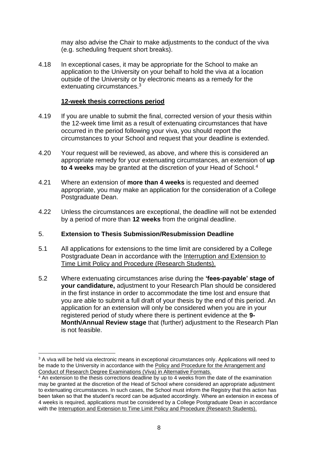may also advise the Chair to make adjustments to the conduct of the viva (e.g. scheduling frequent short breaks).

4.18 In exceptional cases, it may be appropriate for the School to make an application to the University on your behalf to hold the viva at a location outside of the University or by electronic means as a remedy for the extenuating circumstances.<sup>3</sup>

### **12-week thesis corrections period**

- 4.19 If you are unable to submit the final, corrected version of your thesis within the 12-week time limit as a result of extenuating circumstances that have occurred in the period following your viva, you should report the circumstances to your School and request that your deadline is extended.
- 4.20 Your request will be reviewed, as above, and where this is considered an appropriate remedy for your extenuating circumstances, an extension of **up to 4 weeks** may be granted at the discretion of your Head of School.<sup>4</sup>
- 4.21 Where an extension of **more than 4 weeks** is requested and deemed appropriate, you may make an application for the consideration of a College Postgraduate Dean.
- 4.22 Unless the circumstances are exceptional, the deadline will not be extended by a period of more than **12 weeks** from the original deadline.

## 5. **Extension to Thesis Submission/Resubmission Deadline**

- 5.1 All applications for extensions to the time limit are considered by a College Postgraduate Dean in accordance with the [Interruption and Extension to](https://intranet.cardiff.ac.uk/?a=1453561)  [Time Limit Policy and Procedure \(Research Students\).](https://intranet.cardiff.ac.uk/?a=1453561)
- 5.2 Where extenuating circumstances arise during the **'fees-payable' stage of your candidature,** adjustment to your Research Plan should be considered in the first instance in order to accommodate the time lost and ensure that you are able to submit a full draft of your thesis by the end of this period. An application for an extension will only be considered when you are in your registered period of study where there is pertinent evidence at the **9- Month/Annual Review stage** that (further) adjustment to the Research Plan is not feasible.

<sup>&</sup>lt;sup>3</sup> A viva will be held via electronic means in exceptional circumstances only. Applications will need to be made to the University in accordance with the [Policy and Procedure for the Arrangement and](https://intranet.cardiff.ac.uk/?a=1490664)  [Conduct of Research Degree Examinations \(Viva\) in Alternative Formats.](https://intranet.cardiff.ac.uk/?a=1490664)

 $4$  An extension to the thesis corrections deadline by up to  $4$  weeks from the date of the examination may be granted at the discretion of the Head of School where considered an appropriate adjustment to extenuating circumstances. In such cases, the School must inform the Registry that this action has been taken so that the student's record can be adjusted accordingly. Where an extension in excess of 4 weeks is required, applications must be considered by a College Postgraduate Dean in accordance with the [Interruption and Extension to Time Limit Policy and Procedure \(Research Students\).](https://intranet.cardiff.ac.uk/?a=1453561)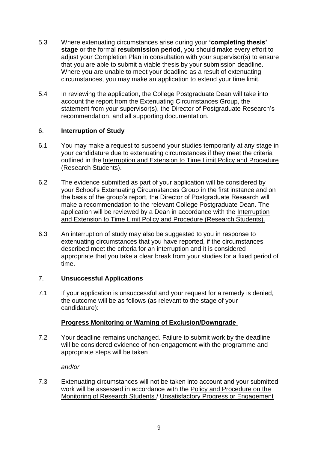- 5.3 Where extenuating circumstances arise during your **'completing thesis' stage** or the formal **resubmission period**, you should make every effort to adjust your Completion Plan in consultation with your supervisor(s) to ensure that you are able to submit a viable thesis by your submission deadline. Where you are unable to meet your deadline as a result of extenuating circumstances, you may make an application to extend your time limit.
- 5.4 In reviewing the application, the College Postgraduate Dean will take into account the report from the Extenuating Circumstances Group, the statement from your supervisor(s), the Director of Postgraduate Research's recommendation, and all supporting documentation.

### 6. **Interruption of Study**

- 6.1 You may make a request to suspend your studies temporarily at any stage in your candidature due to extenuating circumstances if they meet the criteria outlined in the [Interruption and Extension to Time Limit Policy and Procedure](https://intranet.cardiff.ac.uk/?a=1453561)  [\(Research Students\).](https://intranet.cardiff.ac.uk/?a=1453561)
- 6.2 The evidence submitted as part of your application will be considered by your School's Extenuating Circumstances Group in the first instance and on the basis of the group's report, the Director of Postgraduate Research will make a recommendation to the relevant College Postgraduate Dean. The application will be reviewed by a Dean in accordance with the [Interruption](https://intranet.cardiff.ac.uk/?a=1453561)  [and Extension to Time Limit Policy and Procedure \(Research Students\).](https://intranet.cardiff.ac.uk/?a=1453561)
- 6.3 An interruption of study may also be suggested to you in response to extenuating circumstances that you have reported, if the circumstances described meet the criteria for an interruption and it is considered appropriate that you take a clear break from your studies for a fixed period of time.

## 7. **Unsuccessful Applications**

7.1 If your application is unsuccessful and your request for a remedy is denied, the outcome will be as follows (as relevant to the stage of your candidature):

## **Progress Monitoring or Warning of Exclusion/Downgrade**

7.2 Your deadline remains unchanged. Failure to submit work by the deadline will be considered evidence of non-engagement with the programme and appropriate steps will be taken

*and/or*

7.3 Extenuating circumstances will not be taken into account and your submitted work will be assessed in accordance with the [Policy and Procedure on the](https://intranet.cardiff.ac.uk/?a=1400672)  [Monitoring of Research Students](https://intranet.cardiff.ac.uk/?a=1400672) / [Unsatisfactory Progress or Engagement](https://intranet.cardiff.ac.uk/?a=1483916)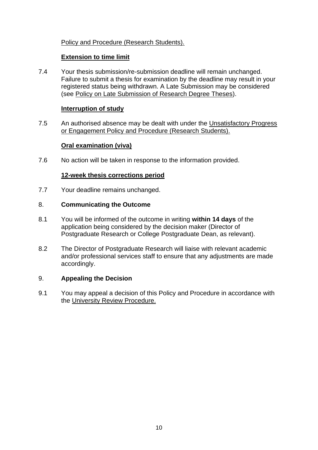# [Policy and Procedure \(Research Students\).](https://intranet.cardiff.ac.uk/?a=1483916)

### **Extension to time limit**

7.4 Your thesis submission/re-submission deadline will remain unchanged. Failure to submit a thesis for examination by the deadline may result in your registered status being withdrawn. A Late Submission may be considered (see [Policy on Late Submission of Research Degree Theses\)](https://intranet.cardiff.ac.uk/?a=1551354).

### **Interruption of study**

7.5 An authorised absence may be dealt with under the [Unsatisfactory Progress](https://intranet.cardiff.ac.uk/?a=1483916)  [or Engagement Policy and Procedure \(Research Students\).](https://intranet.cardiff.ac.uk/?a=1483916)

### **Oral examination (viva)**

7.6 No action will be taken in response to the information provided.

### **12-week thesis corrections period**

7.7 Your deadline remains unchanged.

#### 8. **Communicating the Outcome**

- 8.1 You will be informed of the outcome in writing **within 14 days** of the application being considered by the decision maker (Director of Postgraduate Research or College Postgraduate Dean, as relevant).
- 8.2 The Director of Postgraduate Research will liaise with relevant academic and/or professional services staff to ensure that any adjustments are made accordingly.

#### 9. **Appealing the Decision**

9.1 You may appeal a decision of this Policy and Procedure in accordance with the [University Review Procedure.](https://www.cardiff.ac.uk/__data/assets/pdf_file/0006/1547898/University-Review-Procedure.pdf)